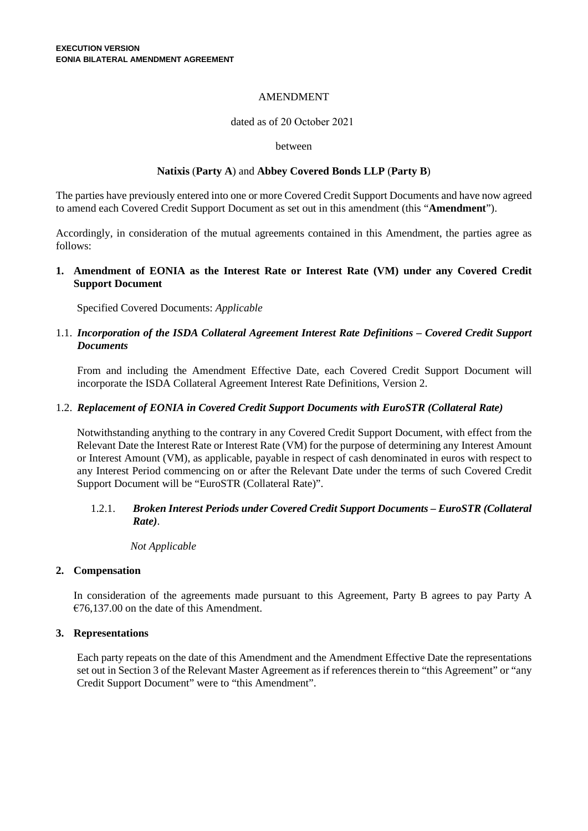## AMENDMENT

### dated as of 20 October 2021

#### between

## **Natixis** (**Party A**) and **Abbey Covered Bonds LLP** (**Party B**)

The parties have previously entered into one or more Covered Credit Support Documents and have now agreed to amend each Covered Credit Support Document as set out in this amendment (this "**Amendment**").

Accordingly, in consideration of the mutual agreements contained in this Amendment, the parties agree as follows:

**1. Amendment of EONIA as the Interest Rate or Interest Rate (VM) under any Covered Credit Support Document**

Specified Covered Documents: *Applicable*

# 1.1. *Incorporation of the ISDA Collateral Agreement Interest Rate Definitions – Covered Credit Support Documents*

From and including the Amendment Effective Date, each Covered Credit Support Document will incorporate the ISDA Collateral Agreement Interest Rate Definitions, Version 2.

## 1.2. *Replacement of EONIA in Covered Credit Support Documents with EuroSTR (Collateral Rate)*

Notwithstanding anything to the contrary in any Covered Credit Support Document, with effect from the Relevant Date the Interest Rate or Interest Rate (VM) for the purpose of determining any Interest Amount or Interest Amount (VM), as applicable, payable in respect of cash denominated in euros with respect to any Interest Period commencing on or after the Relevant Date under the terms of such Covered Credit Support Document will be "EuroSTR (Collateral Rate)".

# 1.2.1. *Broken Interest Periods under Covered Credit Support Documents – EuroSTR (Collateral Rate)*.

## *Not Applicable*

## **2. Compensation**

In consideration of the agreements made pursuant to this Agreement, Party B agrees to pay Party A €76,137.00 on the date of this Amendment.

## **3. Representations**

Each party repeats on the date of this Amendment and the Amendment Effective Date the representations set out in Section 3 of the Relevant Master Agreement as if references therein to "this Agreement" or "any Credit Support Document" were to "this Amendment".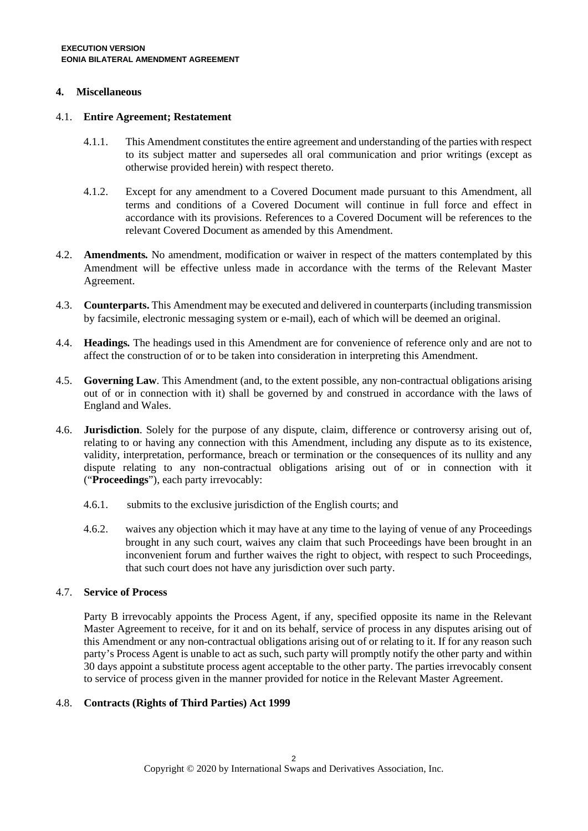## **4. Miscellaneous**

#### 4.1. **Entire Agreement; Restatement**

- 4.1.1. This Amendment constitutes the entire agreement and understanding of the parties with respect to its subject matter and supersedes all oral communication and prior writings (except as otherwise provided herein) with respect thereto.
- 4.1.2. Except for any amendment to a Covered Document made pursuant to this Amendment, all terms and conditions of a Covered Document will continue in full force and effect in accordance with its provisions. References to a Covered Document will be references to the relevant Covered Document as amended by this Amendment.
- 4.2. **Amendments***.* No amendment, modification or waiver in respect of the matters contemplated by this Amendment will be effective unless made in accordance with the terms of the Relevant Master Agreement.
- 4.3. **Counterparts.** This Amendment may be executed and delivered in counterparts (including transmission by facsimile, electronic messaging system or e-mail), each of which will be deemed an original.
- 4.4. **Headings***.* The headings used in this Amendment are for convenience of reference only and are not to affect the construction of or to be taken into consideration in interpreting this Amendment.
- 4.5. **Governing Law**. This Amendment (and, to the extent possible, any non-contractual obligations arising out of or in connection with it) shall be governed by and construed in accordance with the laws of England and Wales.
- 4.6. **Jurisdiction**. Solely for the purpose of any dispute, claim, difference or controversy arising out of, relating to or having any connection with this Amendment, including any dispute as to its existence, validity, interpretation, performance, breach or termination or the consequences of its nullity and any dispute relating to any non-contractual obligations arising out of or in connection with it ("**Proceedings**"), each party irrevocably:
	- 4.6.1. submits to the exclusive jurisdiction of the English courts; and
	- 4.6.2. waives any objection which it may have at any time to the laying of venue of any Proceedings brought in any such court, waives any claim that such Proceedings have been brought in an inconvenient forum and further waives the right to object, with respect to such Proceedings, that such court does not have any jurisdiction over such party.

## 4.7. **Service of Process**

Party B irrevocably appoints the Process Agent, if any, specified opposite its name in the Relevant Master Agreement to receive, for it and on its behalf, service of process in any disputes arising out of this Amendment or any non-contractual obligations arising out of or relating to it. If for any reason such party's Process Agent is unable to act as such, such party will promptly notify the other party and within 30 days appoint a substitute process agent acceptable to the other party. The parties irrevocably consent to service of process given in the manner provided for notice in the Relevant Master Agreement.

## 4.8. **Contracts (Rights of Third Parties) Act 1999**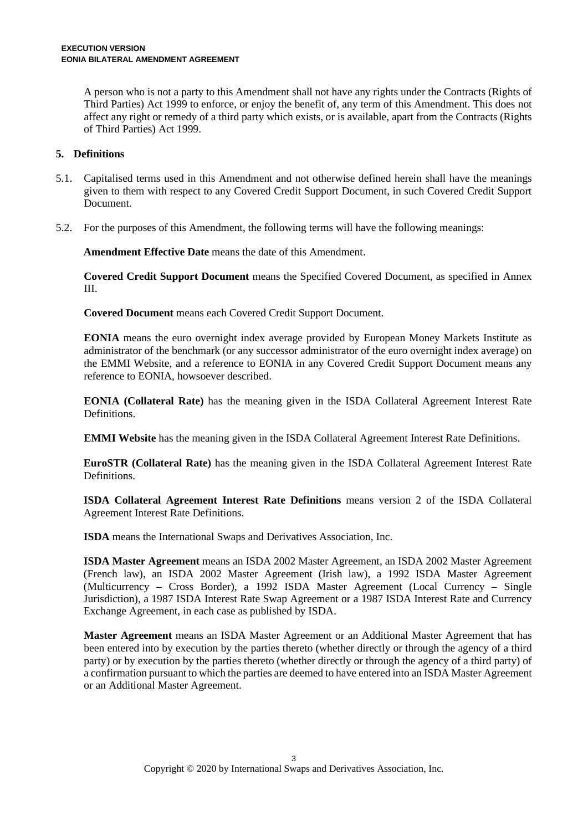A person who is not a party to this Amendment shall not have any rights under the Contracts (Rights of Third Parties) Act 1999 to enforce, or enjoy the benefit of, any term of this Amendment. This does not affect any right or remedy of a third party which exists, or is available, apart from the Contracts (Rights of Third Parties) Act 1999.

## **5. Definitions**

- 5.1. Capitalised terms used in this Amendment and not otherwise defined herein shall have the meanings given to them with respect to any Covered Credit Support Document, in such Covered Credit Support Document.
- 5.2. For the purposes of this Amendment, the following terms will have the following meanings:

**Amendment Effective Date** means the date of this Amendment.

**Covered Credit Support Document** means the Specified Covered Document, as specified in Annex III.

**Covered Document** means each Covered Credit Support Document.

**EONIA** means the euro overnight index average provided by European Money Markets Institute as administrator of the benchmark (or any successor administrator of the euro overnight index average) on the EMMI Website, and a reference to EONIA in any Covered Credit Support Document means any reference to EONIA, howsoever described.

**EONIA (Collateral Rate)** has the meaning given in the ISDA Collateral Agreement Interest Rate Definitions.

**EMMI Website** has the meaning given in the ISDA Collateral Agreement Interest Rate Definitions.

**EuroSTR (Collateral Rate)** has the meaning given in the ISDA Collateral Agreement Interest Rate Definitions.

**ISDA Collateral Agreement Interest Rate Definitions** means version 2 of the ISDA Collateral Agreement Interest Rate Definitions.

**ISDA** means the International Swaps and Derivatives Association, Inc.

**ISDA Master Agreement** means an ISDA 2002 Master Agreement, an ISDA 2002 Master Agreement (French law), an ISDA 2002 Master Agreement (Irish law), a 1992 ISDA Master Agreement (Multicurrency – Cross Border), a 1992 ISDA Master Agreement (Local Currency – Single Jurisdiction), a 1987 ISDA Interest Rate Swap Agreement or a 1987 ISDA Interest Rate and Currency Exchange Agreement, in each case as published by ISDA.

**Master Agreement** means an ISDA Master Agreement or an Additional Master Agreement that has been entered into by execution by the parties thereto (whether directly or through the agency of a third party) or by execution by the parties thereto (whether directly or through the agency of a third party) of a confirmation pursuant to which the parties are deemed to have entered into an ISDA Master Agreement or an Additional Master Agreement.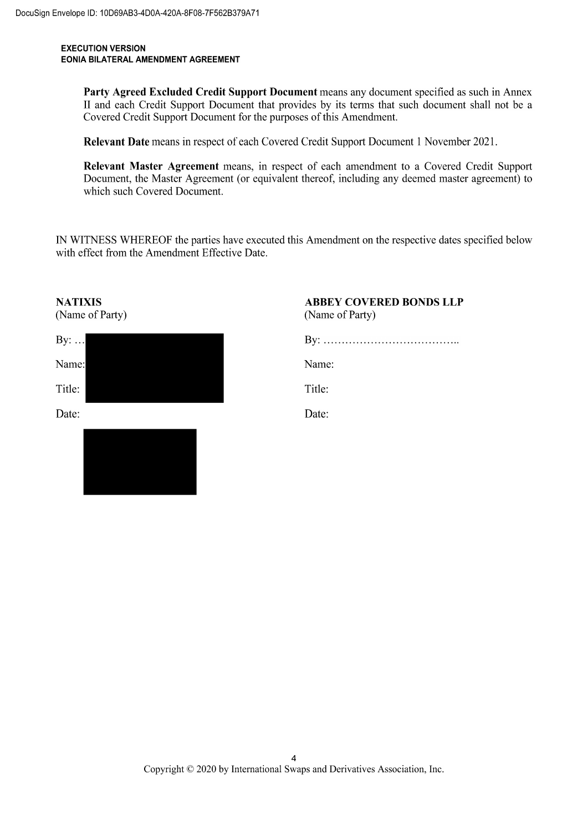#### **EXECUTION VERSION** EONIA BILATERAL AMENDMENT AGREEMENT

Party Agreed Excluded Credit Support Document means any document specified as such in Annex II and each Credit Support Document that provides by its terms that such document shall not be a Covered Credit Support Document for the purposes of this Amendment.

Relevant Date means in respect of each Covered Credit Support Document 1 November 2021.

Relevant Master Agreement means, in respect of each amendment to a Covered Credit Support Document, the Master Agreement (or equivalent thereof, including any deemed master agreement) to which such Covered Document.

IN WITNESS WHEREOF the parties have executed this Amendment on the respective dates specified below with effect from the Amendment Effective Date.

| <b>NATIXIS</b><br>(Name of Party) | <b>ABBEY COVERED BONDS LLP</b><br>(Name of Party) |
|-----------------------------------|---------------------------------------------------|
| By: $\dots$                       |                                                   |
| Name:                             | Name:                                             |
| Title:                            | Title:                                            |
| Date:                             | Date:                                             |
|                                   |                                                   |
|                                   |                                                   |
|                                   |                                                   |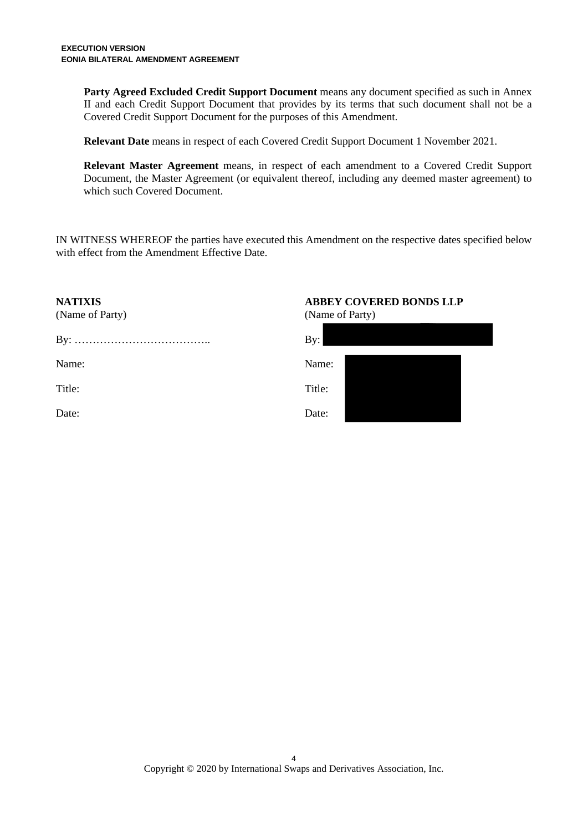**Party Agreed Excluded Credit Support Document** means any document specified as such in Annex II and each Credit Support Document that provides by its terms that such document shall not be a Covered Credit Support Document for the purposes of this Amendment.

**Relevant Date** means in respect of each Covered Credit Support Document 1 November 2021.

**Relevant Master Agreement** means, in respect of each amendment to a Covered Credit Support Document, the Master Agreement (or equivalent thereof, including any deemed master agreement) to which such Covered Document.

IN WITNESS WHEREOF the parties have executed this Amendment on the respective dates specified below with effect from the Amendment Effective Date.

| <b>NATIXIS</b><br>(Name of Party) | <b>ABBEY COVERED BONDS LLP</b><br>(Name of Party) |
|-----------------------------------|---------------------------------------------------|
|                                   | By:                                               |
| Name:                             | Name:                                             |
| Title:                            | Title:                                            |
| Date:                             | Date:                                             |
|                                   |                                                   |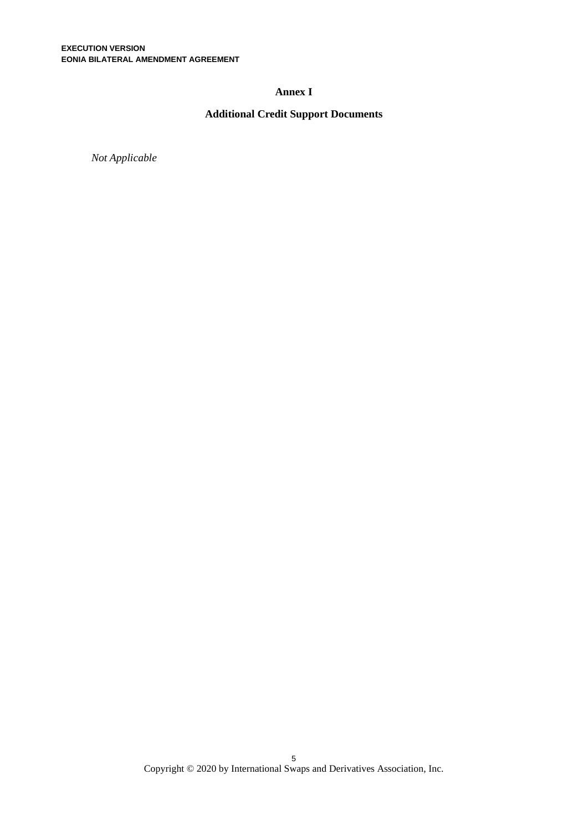### **Annex I**

# **Additional Credit Support Documents**

*Not Applicable*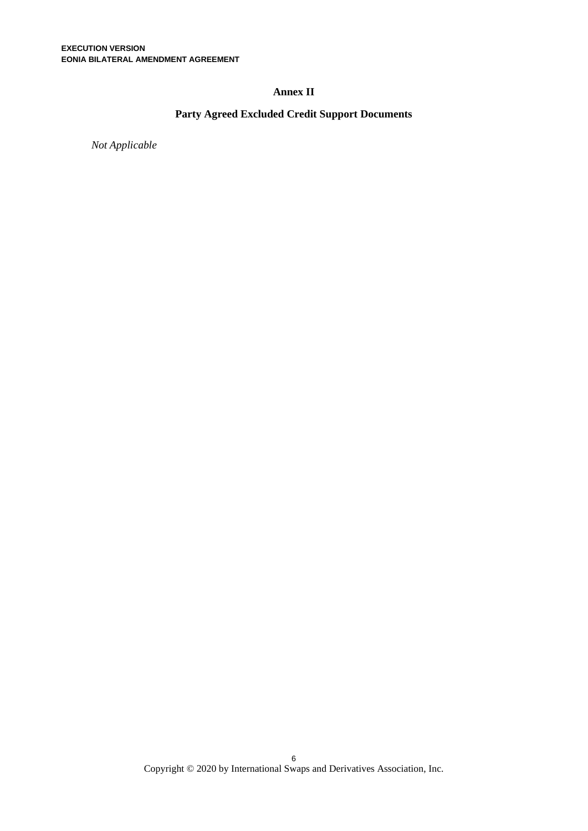## **Annex II**

# **Party Agreed Excluded Credit Support Documents**

*Not Applicable*